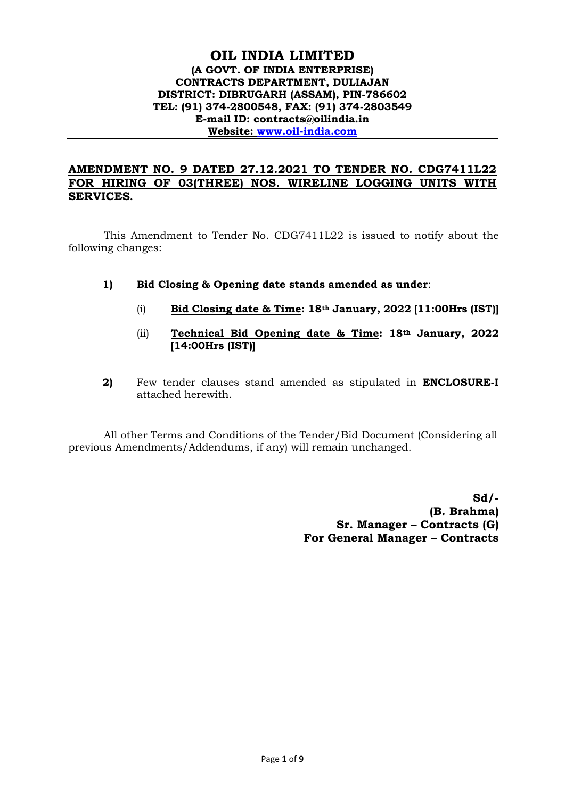## **OIL INDIA LIMITED (A GOVT. OF INDIA ENTERPRISE) CONTRACTS DEPARTMENT, DULIAJAN DISTRICT: DIBRUGARH (ASSAM), PIN-786602 TEL: (91) 374-2800548, FAX: (91) 374-2803549 E-mail ID: contracts@oilindia.in Website: [www.oil-india.com](http://www.oil-india.com/)**

# **AMENDMENT NO. 9 DATED 27.12.2021 TO TENDER NO. CDG7411L22 FOR HIRING OF 03(THREE) NOS. WIRELINE LOGGING UNITS WITH SERVICES.**

This Amendment to Tender No. CDG7411L22 is issued to notify about the following changes:

- **1) Bid Closing & Opening date stands amended as under**:
	- (i) **Bid Closing date & Time: 18th January, 2022 [11:00Hrs (IST)]**
	- (ii) **Technical Bid Opening date & Time: 18th January, 2022 [14:00Hrs (IST)]**
- **2)** Few tender clauses stand amended as stipulated in **ENCLOSURE-I** attached herewith.

All other Terms and Conditions of the Tender/Bid Document (Considering all previous Amendments/Addendums, if any) will remain unchanged.

> **Sd/- (B. Brahma) Sr. Manager – Contracts (G) For General Manager – Contracts**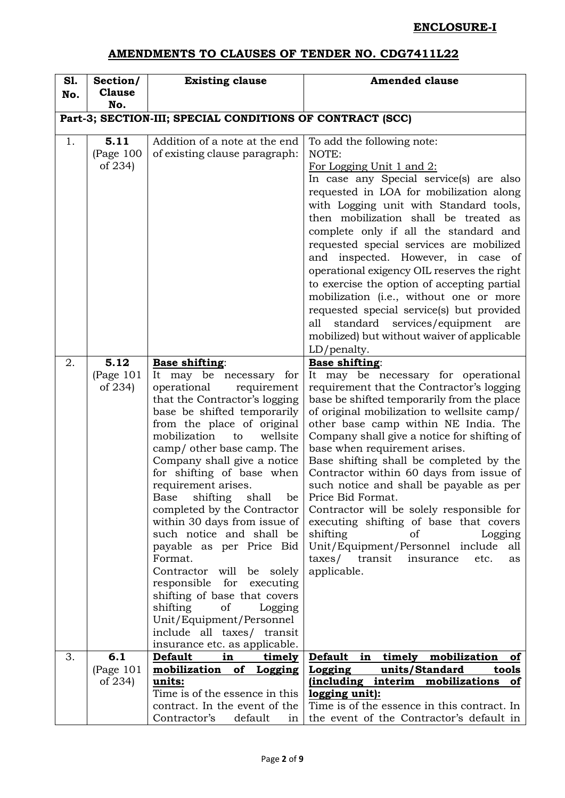# **ENCLOSURE-I**

# **AMENDMENTS TO CLAUSES OF TENDER NO. CDG7411L22**

| S1.                                                       | Section/                       | <b>Existing clause</b>                                                                                                                                                                                                                                                                                                                                                                                                                                                                                                                                                                                                                                                                                                          | <b>Amended clause</b>                                                                                                                                                                                                                                                                                                                                                                                                                                                                                                                                                                                                                                                                                          |  |  |
|-----------------------------------------------------------|--------------------------------|---------------------------------------------------------------------------------------------------------------------------------------------------------------------------------------------------------------------------------------------------------------------------------------------------------------------------------------------------------------------------------------------------------------------------------------------------------------------------------------------------------------------------------------------------------------------------------------------------------------------------------------------------------------------------------------------------------------------------------|----------------------------------------------------------------------------------------------------------------------------------------------------------------------------------------------------------------------------------------------------------------------------------------------------------------------------------------------------------------------------------------------------------------------------------------------------------------------------------------------------------------------------------------------------------------------------------------------------------------------------------------------------------------------------------------------------------------|--|--|
| No.                                                       | <b>Clause</b><br>No.           |                                                                                                                                                                                                                                                                                                                                                                                                                                                                                                                                                                                                                                                                                                                                 |                                                                                                                                                                                                                                                                                                                                                                                                                                                                                                                                                                                                                                                                                                                |  |  |
|                                                           |                                |                                                                                                                                                                                                                                                                                                                                                                                                                                                                                                                                                                                                                                                                                                                                 |                                                                                                                                                                                                                                                                                                                                                                                                                                                                                                                                                                                                                                                                                                                |  |  |
| Part-3; SECTION-III; SPECIAL CONDITIONS OF CONTRACT (SCC) |                                |                                                                                                                                                                                                                                                                                                                                                                                                                                                                                                                                                                                                                                                                                                                                 |                                                                                                                                                                                                                                                                                                                                                                                                                                                                                                                                                                                                                                                                                                                |  |  |
| 1.                                                        | 5.11<br>(Page 100)<br>of 234)  | Addition of a note at the end<br>of existing clause paragraph:                                                                                                                                                                                                                                                                                                                                                                                                                                                                                                                                                                                                                                                                  | To add the following note:<br>NOTE:<br>For Logging Unit 1 and 2:<br>In case any Special service(s) are also<br>requested in LOA for mobilization along<br>with Logging unit with Standard tools,<br>then mobilization shall be treated as<br>complete only if all the standard and<br>requested special services are mobilized<br>and inspected. However, in case of<br>operational exigency OIL reserves the right<br>to exercise the option of accepting partial<br>mobilization (i.e., without one or more<br>requested special service(s) but provided<br>standard services/equipment<br>all<br>are<br>mobilized) but without waiver of applicable                                                         |  |  |
|                                                           |                                |                                                                                                                                                                                                                                                                                                                                                                                                                                                                                                                                                                                                                                                                                                                                 | LD/penalty.                                                                                                                                                                                                                                                                                                                                                                                                                                                                                                                                                                                                                                                                                                    |  |  |
| 2.                                                        | 5.12<br>(Page $101$<br>of 234) | <b>Base shifting:</b><br>It may be necessary for<br>operational<br>requirement<br>that the Contractor's logging<br>base be shifted temporarily<br>from the place of original<br>mobilization<br>wellsite<br>to<br>camp/ other base camp. The<br>Company shall give a notice<br>for shifting of base when<br>requirement arises.<br>shifting<br>shall<br>be<br>Base<br>completed by the Contractor<br>within 30 days from issue of<br>such notice and shall be<br>payable as per Price Bid<br>Format.<br>Contractor will<br>be solely<br>for<br>responsible<br>executing<br>shifting of base that covers<br>shifting<br>of<br>Logging<br>Unit/Equipment/Personnel<br>include all taxes/ transit<br>insurance etc. as applicable. | <b>Base shifting:</b><br>It may be necessary for operational<br>requirement that the Contractor's logging<br>base be shifted temporarily from the place<br>of original mobilization to wellsite camp/<br>other base camp within NE India. The<br>Company shall give a notice for shifting of<br>base when requirement arises.<br>Base shifting shall be completed by the<br>Contractor within 60 days from issue of<br>such notice and shall be payable as per<br>Price Bid Format.<br>Contractor will be solely responsible for<br>executing shifting of base that covers<br>shifting<br>οf<br>Logging<br>Unit/Equipment/Personnel include<br>all<br>taxes/ transit<br>insurance<br>etc.<br>as<br>applicable. |  |  |
| 3.                                                        | 6.1                            | <b>Default</b><br>in<br><u>timely</u>                                                                                                                                                                                                                                                                                                                                                                                                                                                                                                                                                                                                                                                                                           | <b>Default</b><br>in<br>timely<br>mobilization<br>οf                                                                                                                                                                                                                                                                                                                                                                                                                                                                                                                                                                                                                                                           |  |  |
|                                                           | (Page $101$                    | mobilization<br>of Logging                                                                                                                                                                                                                                                                                                                                                                                                                                                                                                                                                                                                                                                                                                      | units/Standard<br>Logging<br>tools                                                                                                                                                                                                                                                                                                                                                                                                                                                                                                                                                                                                                                                                             |  |  |
|                                                           | of 234)                        | units:                                                                                                                                                                                                                                                                                                                                                                                                                                                                                                                                                                                                                                                                                                                          | (including interim mobilizations of                                                                                                                                                                                                                                                                                                                                                                                                                                                                                                                                                                                                                                                                            |  |  |
|                                                           |                                | Time is of the essence in this<br>contract. In the event of the<br>default                                                                                                                                                                                                                                                                                                                                                                                                                                                                                                                                                                                                                                                      | logging unit):<br>Time is of the essence in this contract. In                                                                                                                                                                                                                                                                                                                                                                                                                                                                                                                                                                                                                                                  |  |  |
|                                                           |                                | Contractor's<br>in                                                                                                                                                                                                                                                                                                                                                                                                                                                                                                                                                                                                                                                                                                              | the event of the Contractor's default in                                                                                                                                                                                                                                                                                                                                                                                                                                                                                                                                                                                                                                                                       |  |  |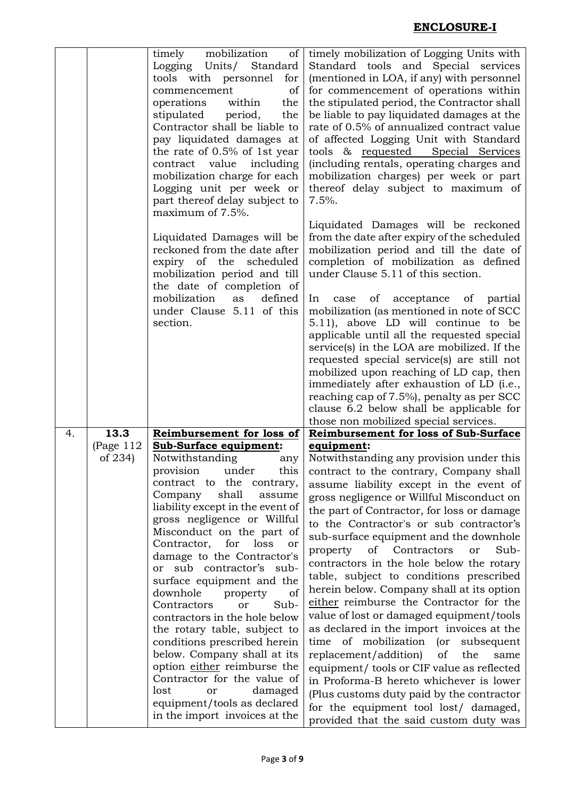|                        | Logging Units/<br>Standard<br>tools with personnel<br>for<br>commencement<br>of<br>operations<br>within<br>the<br>stipulated<br>period,<br>the<br>Contractor shall be liable to<br>pay liquidated damages at<br>the rate of 0.5% of 1st year<br>contract value<br>including<br>mobilization charge for each<br>Logging unit per week or<br>part thereof delay subject to                                                                                                                                                                                                                                                                                         | timely mobilization of Logging Units with<br>Standard tools and Special services<br>(mentioned in LOA, if any) with personnel<br>for commencement of operations within<br>the stipulated period, the Contractor shall<br>be liable to pay liquidated damages at the<br>rate of 0.5% of annualized contract value<br>of affected Logging Unit with Standard<br>tools & requested Special Services<br>(including rentals, operating charges and<br>mobilization charges) per week or part<br>thereof delay subject to maximum of<br>$7.5%$ .                                                                                                                                                                                                                                                                                                                                         |
|------------------------|------------------------------------------------------------------------------------------------------------------------------------------------------------------------------------------------------------------------------------------------------------------------------------------------------------------------------------------------------------------------------------------------------------------------------------------------------------------------------------------------------------------------------------------------------------------------------------------------------------------------------------------------------------------|------------------------------------------------------------------------------------------------------------------------------------------------------------------------------------------------------------------------------------------------------------------------------------------------------------------------------------------------------------------------------------------------------------------------------------------------------------------------------------------------------------------------------------------------------------------------------------------------------------------------------------------------------------------------------------------------------------------------------------------------------------------------------------------------------------------------------------------------------------------------------------|
|                        | Liquidated Damages will be<br>reckoned from the date after<br>expiry of the<br>scheduled<br>mobilization period and till<br>the date of completion of<br>mobilization<br>defined<br>as                                                                                                                                                                                                                                                                                                                                                                                                                                                                           | Liquidated Damages will be reckoned<br>from the date after expiry of the scheduled<br>mobilization period and till the date of<br>completion of mobilization as defined<br>under Clause 5.11 of this section.<br>of acceptance of partial<br>In<br>case                                                                                                                                                                                                                                                                                                                                                                                                                                                                                                                                                                                                                            |
|                        | section.                                                                                                                                                                                                                                                                                                                                                                                                                                                                                                                                                                                                                                                         | mobilization (as mentioned in note of SCC<br>5.11), above LD will continue to be<br>applicable until all the requested special<br>service(s) in the LOA are mobilized. If the<br>requested special service(s) are still not<br>mobilized upon reaching of LD cap, then<br>immediately after exhaustion of LD (i.e.,<br>reaching cap of 7.5%), penalty as per SCC<br>clause 6.2 below shall be applicable for<br>those non mobilized special services.                                                                                                                                                                                                                                                                                                                                                                                                                              |
|                        |                                                                                                                                                                                                                                                                                                                                                                                                                                                                                                                                                                                                                                                                  | <b>Reimbursement for loss of Sub-Surface</b>                                                                                                                                                                                                                                                                                                                                                                                                                                                                                                                                                                                                                                                                                                                                                                                                                                       |
| (Page $112$<br>of 234) | <b>Sub-Surface equipment:</b><br>Notwithstanding<br>any<br>this<br>under<br>provision<br>the<br>contract to<br>contrary,<br>Company<br>shall<br>assume<br>liability except in the event of<br>gross negligence or Willful<br>Misconduct on the part of<br>Contractor,<br>for<br>loss<br>or<br>damage to the Contractor's<br>or sub contractor's sub-<br>surface equipment and the<br>downhole property<br>of<br>Sub-<br>Contractors<br>or<br>contractors in the hole below<br>the rotary table, subject to<br>conditions prescribed herein<br>below. Company shall at its<br>option either reimburse the<br>Contractor for the value of<br>lost<br>damaged<br>or | equipment:<br>Notwithstanding any provision under this<br>contract to the contrary, Company shall<br>assume liability except in the event of<br>gross negligence or Willful Misconduct on<br>the part of Contractor, for loss or damage<br>to the Contractor's or sub contractor's<br>sub-surface equipment and the downhole<br>of<br>Contractors<br>Sub-<br>property<br>or<br>contractors in the hole below the rotary<br>table, subject to conditions prescribed<br>herein below. Company shall at its option<br>either reimburse the Contractor for the<br>value of lost or damaged equipment/tools<br>as declared in the import invoices at the<br>time of mobilization<br>(<br>subsequent<br>replacement/addition)<br>of<br>the<br>same<br>equipment/ tools or CIF value as reflected<br>in Proforma-B hereto whichever is lower<br>(Plus customs duty paid by the contractor |
|                        | 13.3                                                                                                                                                                                                                                                                                                                                                                                                                                                                                                                                                                                                                                                             | mobilization<br>timely<br>of<br>maximum of 7.5%.<br>under Clause 5.11 of this<br>Reimbursement for loss of                                                                                                                                                                                                                                                                                                                                                                                                                                                                                                                                                                                                                                                                                                                                                                         |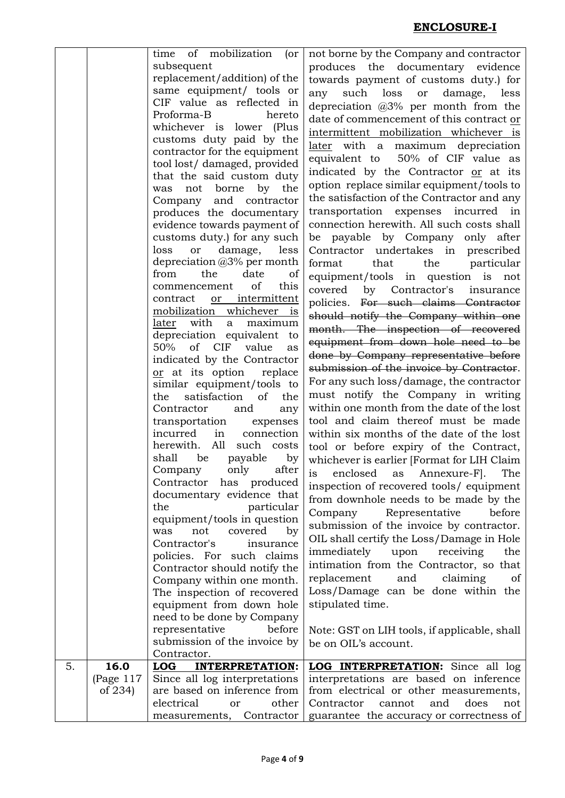| subsequent<br>produces the documentary evidence<br>replacement/addition) of the<br>towards payment of customs duty.) for<br>same equipment/ tools or<br>such<br>any<br>loss<br>damage,<br>or<br>less<br>CIF value as reflected in<br>depreciation $@3\%$ per month from the<br>Proforma-B<br>hereto<br>date of commencement of this contract or<br>whichever is lower (Plus<br>intermittent mobilization whichever is<br>customs duty paid by the<br>later with a maximum depreciation<br>contractor for the equipment<br>equivalent to 50% of CIF value as<br>tool lost/ damaged, provided<br>indicated by the Contractor or at its<br>that the said custom duty<br>option replace similar equipment/tools to<br>not borne<br>by the<br>was<br>the satisfaction of the Contractor and any<br>Company and contractor<br>transportation expenses incurred in<br>produces the documentary<br>connection herewith. All such costs shall<br>evidence towards payment of<br>be payable by Company<br>customs duty.) for any such<br>only after<br>loss<br>damage,<br>less<br>Contractor undertakes in prescribed<br>or<br>depreciation @3% per month<br>that<br>the<br>particular<br>format<br>the<br>of<br>from<br>date<br>equipment/tools in question is<br>not<br>of<br>this<br>commencement<br>covered<br>by Contractor's<br>insurance<br>contract<br>or intermittent<br>policies. For such claims Contractor<br>mobilization whichever is<br>should notify the Company within one<br>with<br>maximum<br>later<br>a<br>month. The inspection of recovered<br>depreciation equivalent to<br>equipment from down hole need to be<br>50%<br>of CIF<br>value<br>as<br>done by Company representative before<br>indicated by the Contractor<br>submission of the invoice by Contractor.<br>or at its option<br>replace<br>For any such loss/damage, the contractor<br>similar equipment/tools to<br>must notify the Company in writing<br>satisfaction<br>the<br>of<br>the<br>within one month from the date of the lost<br>Contractor<br>and<br>any<br>tool and claim thereof must be made<br>transportation<br>expenses<br>connection<br>incurred<br>in<br>within six months of the date of the lost<br>herewith.<br>All<br>such<br>costs<br>tool or before expiry of the Contract,<br>shall<br>be<br>payable<br>by<br>whichever is earlier [Format for LIH Claim<br>Company only<br>after<br>is enclosed as Annexure-F]. The<br>Contractor has produced<br>inspection of recovered tools/ equipment<br>documentary evidence that<br>from downhole needs to be made by the<br>particular<br>the<br>Representative<br>Company<br>before<br>equipment/tools in question<br>submission of the invoice by contractor.<br>covered<br>not<br>by<br>was<br>OIL shall certify the Loss/Damage in Hole<br>Contractor's<br>insurance<br>immediately<br>receiving<br>upon<br>the<br>policies. For such claims<br>intimation from the Contractor, so that<br>Contractor should notify the<br>replacement<br>and<br>claiming<br>of<br>Company within one month.<br>Loss/Damage can be done within the<br>The inspection of recovered<br>stipulated time.<br>equipment from down hole<br>need to be done by Company<br>before<br>representative<br>Note: GST on LIH tools, if applicable, shall<br>submission of the invoice by<br>be on OIL's account.<br>Contractor.<br>16.0<br>5.<br>LOG INTERPRETATION:<br><b>LOG INTERPRETATION:</b> Since all log<br>(Page $117$<br>Since all log interpretations<br>interpretations are based on inference<br>are based on inference from<br>of 234)<br>from electrical or other measurements,<br>electrical<br>Contractor<br>does<br>other<br>cannot<br>and<br>or<br>not |  | time of mobilization<br>$($ or | not borne by the Company and contractor  |
|------------------------------------------------------------------------------------------------------------------------------------------------------------------------------------------------------------------------------------------------------------------------------------------------------------------------------------------------------------------------------------------------------------------------------------------------------------------------------------------------------------------------------------------------------------------------------------------------------------------------------------------------------------------------------------------------------------------------------------------------------------------------------------------------------------------------------------------------------------------------------------------------------------------------------------------------------------------------------------------------------------------------------------------------------------------------------------------------------------------------------------------------------------------------------------------------------------------------------------------------------------------------------------------------------------------------------------------------------------------------------------------------------------------------------------------------------------------------------------------------------------------------------------------------------------------------------------------------------------------------------------------------------------------------------------------------------------------------------------------------------------------------------------------------------------------------------------------------------------------------------------------------------------------------------------------------------------------------------------------------------------------------------------------------------------------------------------------------------------------------------------------------------------------------------------------------------------------------------------------------------------------------------------------------------------------------------------------------------------------------------------------------------------------------------------------------------------------------------------------------------------------------------------------------------------------------------------------------------------------------------------------------------------------------------------------------------------------------------------------------------------------------------------------------------------------------------------------------------------------------------------------------------------------------------------------------------------------------------------------------------------------------------------------------------------------------------------------------------------------------------------------------------------------------------------------------------------------------------------------------------------------------------------------------------------------------------------------------------------------------------------------------------------------------------------------------------------------------------------------------------------------------------------------------------------------------------------------------------------------------------------------------------------------------------------------------|--|--------------------------------|------------------------------------------|
|                                                                                                                                                                                                                                                                                                                                                                                                                                                                                                                                                                                                                                                                                                                                                                                                                                                                                                                                                                                                                                                                                                                                                                                                                                                                                                                                                                                                                                                                                                                                                                                                                                                                                                                                                                                                                                                                                                                                                                                                                                                                                                                                                                                                                                                                                                                                                                                                                                                                                                                                                                                                                                                                                                                                                                                                                                                                                                                                                                                                                                                                                                                                                                                                                                                                                                                                                                                                                                                                                                                                                                                                                                                                                                |  |                                |                                          |
|                                                                                                                                                                                                                                                                                                                                                                                                                                                                                                                                                                                                                                                                                                                                                                                                                                                                                                                                                                                                                                                                                                                                                                                                                                                                                                                                                                                                                                                                                                                                                                                                                                                                                                                                                                                                                                                                                                                                                                                                                                                                                                                                                                                                                                                                                                                                                                                                                                                                                                                                                                                                                                                                                                                                                                                                                                                                                                                                                                                                                                                                                                                                                                                                                                                                                                                                                                                                                                                                                                                                                                                                                                                                                                |  |                                |                                          |
|                                                                                                                                                                                                                                                                                                                                                                                                                                                                                                                                                                                                                                                                                                                                                                                                                                                                                                                                                                                                                                                                                                                                                                                                                                                                                                                                                                                                                                                                                                                                                                                                                                                                                                                                                                                                                                                                                                                                                                                                                                                                                                                                                                                                                                                                                                                                                                                                                                                                                                                                                                                                                                                                                                                                                                                                                                                                                                                                                                                                                                                                                                                                                                                                                                                                                                                                                                                                                                                                                                                                                                                                                                                                                                |  |                                |                                          |
|                                                                                                                                                                                                                                                                                                                                                                                                                                                                                                                                                                                                                                                                                                                                                                                                                                                                                                                                                                                                                                                                                                                                                                                                                                                                                                                                                                                                                                                                                                                                                                                                                                                                                                                                                                                                                                                                                                                                                                                                                                                                                                                                                                                                                                                                                                                                                                                                                                                                                                                                                                                                                                                                                                                                                                                                                                                                                                                                                                                                                                                                                                                                                                                                                                                                                                                                                                                                                                                                                                                                                                                                                                                                                                |  |                                |                                          |
|                                                                                                                                                                                                                                                                                                                                                                                                                                                                                                                                                                                                                                                                                                                                                                                                                                                                                                                                                                                                                                                                                                                                                                                                                                                                                                                                                                                                                                                                                                                                                                                                                                                                                                                                                                                                                                                                                                                                                                                                                                                                                                                                                                                                                                                                                                                                                                                                                                                                                                                                                                                                                                                                                                                                                                                                                                                                                                                                                                                                                                                                                                                                                                                                                                                                                                                                                                                                                                                                                                                                                                                                                                                                                                |  |                                |                                          |
|                                                                                                                                                                                                                                                                                                                                                                                                                                                                                                                                                                                                                                                                                                                                                                                                                                                                                                                                                                                                                                                                                                                                                                                                                                                                                                                                                                                                                                                                                                                                                                                                                                                                                                                                                                                                                                                                                                                                                                                                                                                                                                                                                                                                                                                                                                                                                                                                                                                                                                                                                                                                                                                                                                                                                                                                                                                                                                                                                                                                                                                                                                                                                                                                                                                                                                                                                                                                                                                                                                                                                                                                                                                                                                |  |                                |                                          |
|                                                                                                                                                                                                                                                                                                                                                                                                                                                                                                                                                                                                                                                                                                                                                                                                                                                                                                                                                                                                                                                                                                                                                                                                                                                                                                                                                                                                                                                                                                                                                                                                                                                                                                                                                                                                                                                                                                                                                                                                                                                                                                                                                                                                                                                                                                                                                                                                                                                                                                                                                                                                                                                                                                                                                                                                                                                                                                                                                                                                                                                                                                                                                                                                                                                                                                                                                                                                                                                                                                                                                                                                                                                                                                |  |                                |                                          |
|                                                                                                                                                                                                                                                                                                                                                                                                                                                                                                                                                                                                                                                                                                                                                                                                                                                                                                                                                                                                                                                                                                                                                                                                                                                                                                                                                                                                                                                                                                                                                                                                                                                                                                                                                                                                                                                                                                                                                                                                                                                                                                                                                                                                                                                                                                                                                                                                                                                                                                                                                                                                                                                                                                                                                                                                                                                                                                                                                                                                                                                                                                                                                                                                                                                                                                                                                                                                                                                                                                                                                                                                                                                                                                |  |                                |                                          |
|                                                                                                                                                                                                                                                                                                                                                                                                                                                                                                                                                                                                                                                                                                                                                                                                                                                                                                                                                                                                                                                                                                                                                                                                                                                                                                                                                                                                                                                                                                                                                                                                                                                                                                                                                                                                                                                                                                                                                                                                                                                                                                                                                                                                                                                                                                                                                                                                                                                                                                                                                                                                                                                                                                                                                                                                                                                                                                                                                                                                                                                                                                                                                                                                                                                                                                                                                                                                                                                                                                                                                                                                                                                                                                |  |                                |                                          |
|                                                                                                                                                                                                                                                                                                                                                                                                                                                                                                                                                                                                                                                                                                                                                                                                                                                                                                                                                                                                                                                                                                                                                                                                                                                                                                                                                                                                                                                                                                                                                                                                                                                                                                                                                                                                                                                                                                                                                                                                                                                                                                                                                                                                                                                                                                                                                                                                                                                                                                                                                                                                                                                                                                                                                                                                                                                                                                                                                                                                                                                                                                                                                                                                                                                                                                                                                                                                                                                                                                                                                                                                                                                                                                |  |                                |                                          |
|                                                                                                                                                                                                                                                                                                                                                                                                                                                                                                                                                                                                                                                                                                                                                                                                                                                                                                                                                                                                                                                                                                                                                                                                                                                                                                                                                                                                                                                                                                                                                                                                                                                                                                                                                                                                                                                                                                                                                                                                                                                                                                                                                                                                                                                                                                                                                                                                                                                                                                                                                                                                                                                                                                                                                                                                                                                                                                                                                                                                                                                                                                                                                                                                                                                                                                                                                                                                                                                                                                                                                                                                                                                                                                |  |                                |                                          |
|                                                                                                                                                                                                                                                                                                                                                                                                                                                                                                                                                                                                                                                                                                                                                                                                                                                                                                                                                                                                                                                                                                                                                                                                                                                                                                                                                                                                                                                                                                                                                                                                                                                                                                                                                                                                                                                                                                                                                                                                                                                                                                                                                                                                                                                                                                                                                                                                                                                                                                                                                                                                                                                                                                                                                                                                                                                                                                                                                                                                                                                                                                                                                                                                                                                                                                                                                                                                                                                                                                                                                                                                                                                                                                |  |                                |                                          |
|                                                                                                                                                                                                                                                                                                                                                                                                                                                                                                                                                                                                                                                                                                                                                                                                                                                                                                                                                                                                                                                                                                                                                                                                                                                                                                                                                                                                                                                                                                                                                                                                                                                                                                                                                                                                                                                                                                                                                                                                                                                                                                                                                                                                                                                                                                                                                                                                                                                                                                                                                                                                                                                                                                                                                                                                                                                                                                                                                                                                                                                                                                                                                                                                                                                                                                                                                                                                                                                                                                                                                                                                                                                                                                |  |                                |                                          |
|                                                                                                                                                                                                                                                                                                                                                                                                                                                                                                                                                                                                                                                                                                                                                                                                                                                                                                                                                                                                                                                                                                                                                                                                                                                                                                                                                                                                                                                                                                                                                                                                                                                                                                                                                                                                                                                                                                                                                                                                                                                                                                                                                                                                                                                                                                                                                                                                                                                                                                                                                                                                                                                                                                                                                                                                                                                                                                                                                                                                                                                                                                                                                                                                                                                                                                                                                                                                                                                                                                                                                                                                                                                                                                |  |                                |                                          |
|                                                                                                                                                                                                                                                                                                                                                                                                                                                                                                                                                                                                                                                                                                                                                                                                                                                                                                                                                                                                                                                                                                                                                                                                                                                                                                                                                                                                                                                                                                                                                                                                                                                                                                                                                                                                                                                                                                                                                                                                                                                                                                                                                                                                                                                                                                                                                                                                                                                                                                                                                                                                                                                                                                                                                                                                                                                                                                                                                                                                                                                                                                                                                                                                                                                                                                                                                                                                                                                                                                                                                                                                                                                                                                |  |                                |                                          |
|                                                                                                                                                                                                                                                                                                                                                                                                                                                                                                                                                                                                                                                                                                                                                                                                                                                                                                                                                                                                                                                                                                                                                                                                                                                                                                                                                                                                                                                                                                                                                                                                                                                                                                                                                                                                                                                                                                                                                                                                                                                                                                                                                                                                                                                                                                                                                                                                                                                                                                                                                                                                                                                                                                                                                                                                                                                                                                                                                                                                                                                                                                                                                                                                                                                                                                                                                                                                                                                                                                                                                                                                                                                                                                |  |                                |                                          |
|                                                                                                                                                                                                                                                                                                                                                                                                                                                                                                                                                                                                                                                                                                                                                                                                                                                                                                                                                                                                                                                                                                                                                                                                                                                                                                                                                                                                                                                                                                                                                                                                                                                                                                                                                                                                                                                                                                                                                                                                                                                                                                                                                                                                                                                                                                                                                                                                                                                                                                                                                                                                                                                                                                                                                                                                                                                                                                                                                                                                                                                                                                                                                                                                                                                                                                                                                                                                                                                                                                                                                                                                                                                                                                |  |                                |                                          |
|                                                                                                                                                                                                                                                                                                                                                                                                                                                                                                                                                                                                                                                                                                                                                                                                                                                                                                                                                                                                                                                                                                                                                                                                                                                                                                                                                                                                                                                                                                                                                                                                                                                                                                                                                                                                                                                                                                                                                                                                                                                                                                                                                                                                                                                                                                                                                                                                                                                                                                                                                                                                                                                                                                                                                                                                                                                                                                                                                                                                                                                                                                                                                                                                                                                                                                                                                                                                                                                                                                                                                                                                                                                                                                |  |                                |                                          |
|                                                                                                                                                                                                                                                                                                                                                                                                                                                                                                                                                                                                                                                                                                                                                                                                                                                                                                                                                                                                                                                                                                                                                                                                                                                                                                                                                                                                                                                                                                                                                                                                                                                                                                                                                                                                                                                                                                                                                                                                                                                                                                                                                                                                                                                                                                                                                                                                                                                                                                                                                                                                                                                                                                                                                                                                                                                                                                                                                                                                                                                                                                                                                                                                                                                                                                                                                                                                                                                                                                                                                                                                                                                                                                |  |                                |                                          |
|                                                                                                                                                                                                                                                                                                                                                                                                                                                                                                                                                                                                                                                                                                                                                                                                                                                                                                                                                                                                                                                                                                                                                                                                                                                                                                                                                                                                                                                                                                                                                                                                                                                                                                                                                                                                                                                                                                                                                                                                                                                                                                                                                                                                                                                                                                                                                                                                                                                                                                                                                                                                                                                                                                                                                                                                                                                                                                                                                                                                                                                                                                                                                                                                                                                                                                                                                                                                                                                                                                                                                                                                                                                                                                |  |                                |                                          |
|                                                                                                                                                                                                                                                                                                                                                                                                                                                                                                                                                                                                                                                                                                                                                                                                                                                                                                                                                                                                                                                                                                                                                                                                                                                                                                                                                                                                                                                                                                                                                                                                                                                                                                                                                                                                                                                                                                                                                                                                                                                                                                                                                                                                                                                                                                                                                                                                                                                                                                                                                                                                                                                                                                                                                                                                                                                                                                                                                                                                                                                                                                                                                                                                                                                                                                                                                                                                                                                                                                                                                                                                                                                                                                |  |                                |                                          |
|                                                                                                                                                                                                                                                                                                                                                                                                                                                                                                                                                                                                                                                                                                                                                                                                                                                                                                                                                                                                                                                                                                                                                                                                                                                                                                                                                                                                                                                                                                                                                                                                                                                                                                                                                                                                                                                                                                                                                                                                                                                                                                                                                                                                                                                                                                                                                                                                                                                                                                                                                                                                                                                                                                                                                                                                                                                                                                                                                                                                                                                                                                                                                                                                                                                                                                                                                                                                                                                                                                                                                                                                                                                                                                |  |                                |                                          |
|                                                                                                                                                                                                                                                                                                                                                                                                                                                                                                                                                                                                                                                                                                                                                                                                                                                                                                                                                                                                                                                                                                                                                                                                                                                                                                                                                                                                                                                                                                                                                                                                                                                                                                                                                                                                                                                                                                                                                                                                                                                                                                                                                                                                                                                                                                                                                                                                                                                                                                                                                                                                                                                                                                                                                                                                                                                                                                                                                                                                                                                                                                                                                                                                                                                                                                                                                                                                                                                                                                                                                                                                                                                                                                |  |                                |                                          |
|                                                                                                                                                                                                                                                                                                                                                                                                                                                                                                                                                                                                                                                                                                                                                                                                                                                                                                                                                                                                                                                                                                                                                                                                                                                                                                                                                                                                                                                                                                                                                                                                                                                                                                                                                                                                                                                                                                                                                                                                                                                                                                                                                                                                                                                                                                                                                                                                                                                                                                                                                                                                                                                                                                                                                                                                                                                                                                                                                                                                                                                                                                                                                                                                                                                                                                                                                                                                                                                                                                                                                                                                                                                                                                |  |                                |                                          |
|                                                                                                                                                                                                                                                                                                                                                                                                                                                                                                                                                                                                                                                                                                                                                                                                                                                                                                                                                                                                                                                                                                                                                                                                                                                                                                                                                                                                                                                                                                                                                                                                                                                                                                                                                                                                                                                                                                                                                                                                                                                                                                                                                                                                                                                                                                                                                                                                                                                                                                                                                                                                                                                                                                                                                                                                                                                                                                                                                                                                                                                                                                                                                                                                                                                                                                                                                                                                                                                                                                                                                                                                                                                                                                |  |                                |                                          |
|                                                                                                                                                                                                                                                                                                                                                                                                                                                                                                                                                                                                                                                                                                                                                                                                                                                                                                                                                                                                                                                                                                                                                                                                                                                                                                                                                                                                                                                                                                                                                                                                                                                                                                                                                                                                                                                                                                                                                                                                                                                                                                                                                                                                                                                                                                                                                                                                                                                                                                                                                                                                                                                                                                                                                                                                                                                                                                                                                                                                                                                                                                                                                                                                                                                                                                                                                                                                                                                                                                                                                                                                                                                                                                |  |                                |                                          |
|                                                                                                                                                                                                                                                                                                                                                                                                                                                                                                                                                                                                                                                                                                                                                                                                                                                                                                                                                                                                                                                                                                                                                                                                                                                                                                                                                                                                                                                                                                                                                                                                                                                                                                                                                                                                                                                                                                                                                                                                                                                                                                                                                                                                                                                                                                                                                                                                                                                                                                                                                                                                                                                                                                                                                                                                                                                                                                                                                                                                                                                                                                                                                                                                                                                                                                                                                                                                                                                                                                                                                                                                                                                                                                |  |                                |                                          |
|                                                                                                                                                                                                                                                                                                                                                                                                                                                                                                                                                                                                                                                                                                                                                                                                                                                                                                                                                                                                                                                                                                                                                                                                                                                                                                                                                                                                                                                                                                                                                                                                                                                                                                                                                                                                                                                                                                                                                                                                                                                                                                                                                                                                                                                                                                                                                                                                                                                                                                                                                                                                                                                                                                                                                                                                                                                                                                                                                                                                                                                                                                                                                                                                                                                                                                                                                                                                                                                                                                                                                                                                                                                                                                |  |                                |                                          |
|                                                                                                                                                                                                                                                                                                                                                                                                                                                                                                                                                                                                                                                                                                                                                                                                                                                                                                                                                                                                                                                                                                                                                                                                                                                                                                                                                                                                                                                                                                                                                                                                                                                                                                                                                                                                                                                                                                                                                                                                                                                                                                                                                                                                                                                                                                                                                                                                                                                                                                                                                                                                                                                                                                                                                                                                                                                                                                                                                                                                                                                                                                                                                                                                                                                                                                                                                                                                                                                                                                                                                                                                                                                                                                |  |                                |                                          |
|                                                                                                                                                                                                                                                                                                                                                                                                                                                                                                                                                                                                                                                                                                                                                                                                                                                                                                                                                                                                                                                                                                                                                                                                                                                                                                                                                                                                                                                                                                                                                                                                                                                                                                                                                                                                                                                                                                                                                                                                                                                                                                                                                                                                                                                                                                                                                                                                                                                                                                                                                                                                                                                                                                                                                                                                                                                                                                                                                                                                                                                                                                                                                                                                                                                                                                                                                                                                                                                                                                                                                                                                                                                                                                |  |                                |                                          |
|                                                                                                                                                                                                                                                                                                                                                                                                                                                                                                                                                                                                                                                                                                                                                                                                                                                                                                                                                                                                                                                                                                                                                                                                                                                                                                                                                                                                                                                                                                                                                                                                                                                                                                                                                                                                                                                                                                                                                                                                                                                                                                                                                                                                                                                                                                                                                                                                                                                                                                                                                                                                                                                                                                                                                                                                                                                                                                                                                                                                                                                                                                                                                                                                                                                                                                                                                                                                                                                                                                                                                                                                                                                                                                |  |                                |                                          |
|                                                                                                                                                                                                                                                                                                                                                                                                                                                                                                                                                                                                                                                                                                                                                                                                                                                                                                                                                                                                                                                                                                                                                                                                                                                                                                                                                                                                                                                                                                                                                                                                                                                                                                                                                                                                                                                                                                                                                                                                                                                                                                                                                                                                                                                                                                                                                                                                                                                                                                                                                                                                                                                                                                                                                                                                                                                                                                                                                                                                                                                                                                                                                                                                                                                                                                                                                                                                                                                                                                                                                                                                                                                                                                |  |                                |                                          |
|                                                                                                                                                                                                                                                                                                                                                                                                                                                                                                                                                                                                                                                                                                                                                                                                                                                                                                                                                                                                                                                                                                                                                                                                                                                                                                                                                                                                                                                                                                                                                                                                                                                                                                                                                                                                                                                                                                                                                                                                                                                                                                                                                                                                                                                                                                                                                                                                                                                                                                                                                                                                                                                                                                                                                                                                                                                                                                                                                                                                                                                                                                                                                                                                                                                                                                                                                                                                                                                                                                                                                                                                                                                                                                |  |                                |                                          |
|                                                                                                                                                                                                                                                                                                                                                                                                                                                                                                                                                                                                                                                                                                                                                                                                                                                                                                                                                                                                                                                                                                                                                                                                                                                                                                                                                                                                                                                                                                                                                                                                                                                                                                                                                                                                                                                                                                                                                                                                                                                                                                                                                                                                                                                                                                                                                                                                                                                                                                                                                                                                                                                                                                                                                                                                                                                                                                                                                                                                                                                                                                                                                                                                                                                                                                                                                                                                                                                                                                                                                                                                                                                                                                |  |                                |                                          |
|                                                                                                                                                                                                                                                                                                                                                                                                                                                                                                                                                                                                                                                                                                                                                                                                                                                                                                                                                                                                                                                                                                                                                                                                                                                                                                                                                                                                                                                                                                                                                                                                                                                                                                                                                                                                                                                                                                                                                                                                                                                                                                                                                                                                                                                                                                                                                                                                                                                                                                                                                                                                                                                                                                                                                                                                                                                                                                                                                                                                                                                                                                                                                                                                                                                                                                                                                                                                                                                                                                                                                                                                                                                                                                |  |                                |                                          |
|                                                                                                                                                                                                                                                                                                                                                                                                                                                                                                                                                                                                                                                                                                                                                                                                                                                                                                                                                                                                                                                                                                                                                                                                                                                                                                                                                                                                                                                                                                                                                                                                                                                                                                                                                                                                                                                                                                                                                                                                                                                                                                                                                                                                                                                                                                                                                                                                                                                                                                                                                                                                                                                                                                                                                                                                                                                                                                                                                                                                                                                                                                                                                                                                                                                                                                                                                                                                                                                                                                                                                                                                                                                                                                |  |                                |                                          |
|                                                                                                                                                                                                                                                                                                                                                                                                                                                                                                                                                                                                                                                                                                                                                                                                                                                                                                                                                                                                                                                                                                                                                                                                                                                                                                                                                                                                                                                                                                                                                                                                                                                                                                                                                                                                                                                                                                                                                                                                                                                                                                                                                                                                                                                                                                                                                                                                                                                                                                                                                                                                                                                                                                                                                                                                                                                                                                                                                                                                                                                                                                                                                                                                                                                                                                                                                                                                                                                                                                                                                                                                                                                                                                |  |                                |                                          |
|                                                                                                                                                                                                                                                                                                                                                                                                                                                                                                                                                                                                                                                                                                                                                                                                                                                                                                                                                                                                                                                                                                                                                                                                                                                                                                                                                                                                                                                                                                                                                                                                                                                                                                                                                                                                                                                                                                                                                                                                                                                                                                                                                                                                                                                                                                                                                                                                                                                                                                                                                                                                                                                                                                                                                                                                                                                                                                                                                                                                                                                                                                                                                                                                                                                                                                                                                                                                                                                                                                                                                                                                                                                                                                |  |                                |                                          |
|                                                                                                                                                                                                                                                                                                                                                                                                                                                                                                                                                                                                                                                                                                                                                                                                                                                                                                                                                                                                                                                                                                                                                                                                                                                                                                                                                                                                                                                                                                                                                                                                                                                                                                                                                                                                                                                                                                                                                                                                                                                                                                                                                                                                                                                                                                                                                                                                                                                                                                                                                                                                                                                                                                                                                                                                                                                                                                                                                                                                                                                                                                                                                                                                                                                                                                                                                                                                                                                                                                                                                                                                                                                                                                |  |                                |                                          |
|                                                                                                                                                                                                                                                                                                                                                                                                                                                                                                                                                                                                                                                                                                                                                                                                                                                                                                                                                                                                                                                                                                                                                                                                                                                                                                                                                                                                                                                                                                                                                                                                                                                                                                                                                                                                                                                                                                                                                                                                                                                                                                                                                                                                                                                                                                                                                                                                                                                                                                                                                                                                                                                                                                                                                                                                                                                                                                                                                                                                                                                                                                                                                                                                                                                                                                                                                                                                                                                                                                                                                                                                                                                                                                |  |                                |                                          |
|                                                                                                                                                                                                                                                                                                                                                                                                                                                                                                                                                                                                                                                                                                                                                                                                                                                                                                                                                                                                                                                                                                                                                                                                                                                                                                                                                                                                                                                                                                                                                                                                                                                                                                                                                                                                                                                                                                                                                                                                                                                                                                                                                                                                                                                                                                                                                                                                                                                                                                                                                                                                                                                                                                                                                                                                                                                                                                                                                                                                                                                                                                                                                                                                                                                                                                                                                                                                                                                                                                                                                                                                                                                                                                |  |                                |                                          |
|                                                                                                                                                                                                                                                                                                                                                                                                                                                                                                                                                                                                                                                                                                                                                                                                                                                                                                                                                                                                                                                                                                                                                                                                                                                                                                                                                                                                                                                                                                                                                                                                                                                                                                                                                                                                                                                                                                                                                                                                                                                                                                                                                                                                                                                                                                                                                                                                                                                                                                                                                                                                                                                                                                                                                                                                                                                                                                                                                                                                                                                                                                                                                                                                                                                                                                                                                                                                                                                                                                                                                                                                                                                                                                |  |                                |                                          |
|                                                                                                                                                                                                                                                                                                                                                                                                                                                                                                                                                                                                                                                                                                                                                                                                                                                                                                                                                                                                                                                                                                                                                                                                                                                                                                                                                                                                                                                                                                                                                                                                                                                                                                                                                                                                                                                                                                                                                                                                                                                                                                                                                                                                                                                                                                                                                                                                                                                                                                                                                                                                                                                                                                                                                                                                                                                                                                                                                                                                                                                                                                                                                                                                                                                                                                                                                                                                                                                                                                                                                                                                                                                                                                |  |                                |                                          |
|                                                                                                                                                                                                                                                                                                                                                                                                                                                                                                                                                                                                                                                                                                                                                                                                                                                                                                                                                                                                                                                                                                                                                                                                                                                                                                                                                                                                                                                                                                                                                                                                                                                                                                                                                                                                                                                                                                                                                                                                                                                                                                                                                                                                                                                                                                                                                                                                                                                                                                                                                                                                                                                                                                                                                                                                                                                                                                                                                                                                                                                                                                                                                                                                                                                                                                                                                                                                                                                                                                                                                                                                                                                                                                |  |                                |                                          |
|                                                                                                                                                                                                                                                                                                                                                                                                                                                                                                                                                                                                                                                                                                                                                                                                                                                                                                                                                                                                                                                                                                                                                                                                                                                                                                                                                                                                                                                                                                                                                                                                                                                                                                                                                                                                                                                                                                                                                                                                                                                                                                                                                                                                                                                                                                                                                                                                                                                                                                                                                                                                                                                                                                                                                                                                                                                                                                                                                                                                                                                                                                                                                                                                                                                                                                                                                                                                                                                                                                                                                                                                                                                                                                |  |                                |                                          |
|                                                                                                                                                                                                                                                                                                                                                                                                                                                                                                                                                                                                                                                                                                                                                                                                                                                                                                                                                                                                                                                                                                                                                                                                                                                                                                                                                                                                                                                                                                                                                                                                                                                                                                                                                                                                                                                                                                                                                                                                                                                                                                                                                                                                                                                                                                                                                                                                                                                                                                                                                                                                                                                                                                                                                                                                                                                                                                                                                                                                                                                                                                                                                                                                                                                                                                                                                                                                                                                                                                                                                                                                                                                                                                |  |                                |                                          |
|                                                                                                                                                                                                                                                                                                                                                                                                                                                                                                                                                                                                                                                                                                                                                                                                                                                                                                                                                                                                                                                                                                                                                                                                                                                                                                                                                                                                                                                                                                                                                                                                                                                                                                                                                                                                                                                                                                                                                                                                                                                                                                                                                                                                                                                                                                                                                                                                                                                                                                                                                                                                                                                                                                                                                                                                                                                                                                                                                                                                                                                                                                                                                                                                                                                                                                                                                                                                                                                                                                                                                                                                                                                                                                |  |                                |                                          |
|                                                                                                                                                                                                                                                                                                                                                                                                                                                                                                                                                                                                                                                                                                                                                                                                                                                                                                                                                                                                                                                                                                                                                                                                                                                                                                                                                                                                                                                                                                                                                                                                                                                                                                                                                                                                                                                                                                                                                                                                                                                                                                                                                                                                                                                                                                                                                                                                                                                                                                                                                                                                                                                                                                                                                                                                                                                                                                                                                                                                                                                                                                                                                                                                                                                                                                                                                                                                                                                                                                                                                                                                                                                                                                |  |                                |                                          |
|                                                                                                                                                                                                                                                                                                                                                                                                                                                                                                                                                                                                                                                                                                                                                                                                                                                                                                                                                                                                                                                                                                                                                                                                                                                                                                                                                                                                                                                                                                                                                                                                                                                                                                                                                                                                                                                                                                                                                                                                                                                                                                                                                                                                                                                                                                                                                                                                                                                                                                                                                                                                                                                                                                                                                                                                                                                                                                                                                                                                                                                                                                                                                                                                                                                                                                                                                                                                                                                                                                                                                                                                                                                                                                |  |                                |                                          |
|                                                                                                                                                                                                                                                                                                                                                                                                                                                                                                                                                                                                                                                                                                                                                                                                                                                                                                                                                                                                                                                                                                                                                                                                                                                                                                                                                                                                                                                                                                                                                                                                                                                                                                                                                                                                                                                                                                                                                                                                                                                                                                                                                                                                                                                                                                                                                                                                                                                                                                                                                                                                                                                                                                                                                                                                                                                                                                                                                                                                                                                                                                                                                                                                                                                                                                                                                                                                                                                                                                                                                                                                                                                                                                |  |                                |                                          |
|                                                                                                                                                                                                                                                                                                                                                                                                                                                                                                                                                                                                                                                                                                                                                                                                                                                                                                                                                                                                                                                                                                                                                                                                                                                                                                                                                                                                                                                                                                                                                                                                                                                                                                                                                                                                                                                                                                                                                                                                                                                                                                                                                                                                                                                                                                                                                                                                                                                                                                                                                                                                                                                                                                                                                                                                                                                                                                                                                                                                                                                                                                                                                                                                                                                                                                                                                                                                                                                                                                                                                                                                                                                                                                |  |                                |                                          |
|                                                                                                                                                                                                                                                                                                                                                                                                                                                                                                                                                                                                                                                                                                                                                                                                                                                                                                                                                                                                                                                                                                                                                                                                                                                                                                                                                                                                                                                                                                                                                                                                                                                                                                                                                                                                                                                                                                                                                                                                                                                                                                                                                                                                                                                                                                                                                                                                                                                                                                                                                                                                                                                                                                                                                                                                                                                                                                                                                                                                                                                                                                                                                                                                                                                                                                                                                                                                                                                                                                                                                                                                                                                                                                |  |                                |                                          |
|                                                                                                                                                                                                                                                                                                                                                                                                                                                                                                                                                                                                                                                                                                                                                                                                                                                                                                                                                                                                                                                                                                                                                                                                                                                                                                                                                                                                                                                                                                                                                                                                                                                                                                                                                                                                                                                                                                                                                                                                                                                                                                                                                                                                                                                                                                                                                                                                                                                                                                                                                                                                                                                                                                                                                                                                                                                                                                                                                                                                                                                                                                                                                                                                                                                                                                                                                                                                                                                                                                                                                                                                                                                                                                |  |                                |                                          |
|                                                                                                                                                                                                                                                                                                                                                                                                                                                                                                                                                                                                                                                                                                                                                                                                                                                                                                                                                                                                                                                                                                                                                                                                                                                                                                                                                                                                                                                                                                                                                                                                                                                                                                                                                                                                                                                                                                                                                                                                                                                                                                                                                                                                                                                                                                                                                                                                                                                                                                                                                                                                                                                                                                                                                                                                                                                                                                                                                                                                                                                                                                                                                                                                                                                                                                                                                                                                                                                                                                                                                                                                                                                                                                |  | measurements, Contractor       | guarantee the accuracy or correctness of |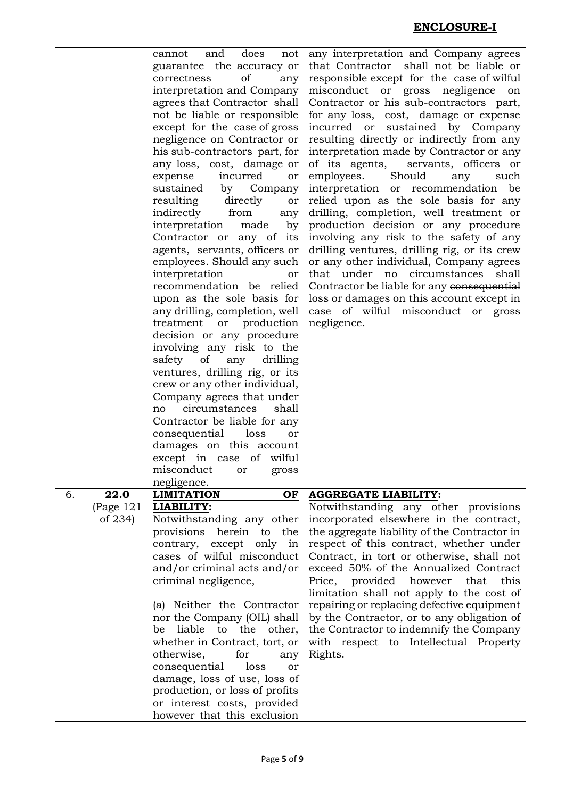|    |             | and                                                |                                                                                 |
|----|-------------|----------------------------------------------------|---------------------------------------------------------------------------------|
|    |             | does<br>cannot<br>not<br>guarantee the accuracy or | any interpretation and Company agrees<br>that Contractor shall not be liable or |
|    |             | of<br>correctness<br>any                           | responsible except for the case of wilful                                       |
|    |             | interpretation and Company                         | misconduct or gross negligence                                                  |
|    |             |                                                    | on                                                                              |
|    |             | agrees that Contractor shall                       | Contractor or his sub-contractors part,                                         |
|    |             | not be liable or responsible                       | for any loss, cost, damage or expense                                           |
|    |             | except for the case of gross                       | incurred or sustained by Company                                                |
|    |             | negligence on Contractor or                        | resulting directly or indirectly from any                                       |
|    |             | his sub-contractors part, for                      | interpretation made by Contractor or any                                        |
|    |             | any loss, cost, damage or                          | of its agents,<br>servants, officers or                                         |
|    |             | incurred<br>expense<br>or                          | employees.<br>Should<br>any<br>such                                             |
|    |             | sustained<br>Company<br>by                         | interpretation or recommendation<br>be                                          |
|    |             | resulting directly<br>or                           | relied upon as the sole basis for any                                           |
|    |             | indirectly from<br>any                             | drilling, completion, well treatment or                                         |
|    |             | interpretation<br>made<br>by                       | production decision or any procedure                                            |
|    |             | Contractor or any of its                           | involving any risk to the safety of any                                         |
|    |             | agents, servants, officers or                      | drilling ventures, drilling rig, or its crew                                    |
|    |             | employees. Should any such                         |                                                                                 |
|    |             |                                                    | or any other individual, Company agrees                                         |
|    |             | interpretation<br><b>or</b>                        | that under no circumstances<br>shall                                            |
|    |             | recommendation be relied                           | Contractor be liable for any consequential                                      |
|    |             | upon as the sole basis for                         | loss or damages on this account except in                                       |
|    |             | any drilling, completion, well                     | case of wilful misconduct or gross                                              |
|    |             | treatment or<br>production                         | negligence.                                                                     |
|    |             | decision or any procedure                          |                                                                                 |
|    |             | involving any risk to the                          |                                                                                 |
|    |             | safety<br>of<br>any<br>drilling                    |                                                                                 |
|    |             | ventures, drilling rig, or its                     |                                                                                 |
|    |             | crew or any other individual,                      |                                                                                 |
|    |             | Company agrees that under                          |                                                                                 |
|    |             | circumstances<br>shall<br>no                       |                                                                                 |
|    |             | Contractor be liable for any                       |                                                                                 |
|    |             | consequential<br>loss<br>or                        |                                                                                 |
|    |             | damages on this account                            |                                                                                 |
|    |             | except in case of wilful                           |                                                                                 |
|    |             | misconduct or<br>gross                             |                                                                                 |
|    |             | negligence.                                        |                                                                                 |
| 6. | 22.0        | <b>LIMITATION</b><br>OF                            | <b>AGGREGATE LIABILITY:</b>                                                     |
|    | (Page $121$ | LIABILITY:                                         | Notwithstanding any other provisions                                            |
|    | of 234)     | Notwithstanding any other                          | incorporated elsewhere in the contract,                                         |
|    |             | provisions herein to the                           | the aggregate liability of the Contractor in                                    |
|    |             | contrary, except only in                           | respect of this contract, whether under                                         |
|    |             | cases of wilful misconduct                         | Contract, in tort or otherwise, shall not                                       |
|    |             | and/or criminal acts and/or                        | exceed 50% of the Annualized Contract                                           |
|    |             | criminal negligence,                               | provided<br>however<br>this<br>Price,<br>that                                   |
|    |             |                                                    | limitation shall not apply to the cost of                                       |
|    |             | (a) Neither the Contractor                         | repairing or replacing defective equipment                                      |
|    |             | nor the Company (OIL) shall                        | by the Contractor, or to any obligation of                                      |
|    |             | liable<br>to<br>the<br>other,<br>be                | the Contractor to indemnify the Company                                         |
|    |             |                                                    |                                                                                 |
|    |             | whether in Contract, tort, or                      | with respect to Intellectual Property                                           |
|    |             | otherwise,<br>for<br>any                           | Rights.                                                                         |
|    |             | consequential<br>loss<br>or                        |                                                                                 |
|    |             | damage, loss of use, loss of                       |                                                                                 |
|    |             | production, or loss of profits                     |                                                                                 |
|    |             | or interest costs, provided                        |                                                                                 |
|    |             | however that this exclusion                        |                                                                                 |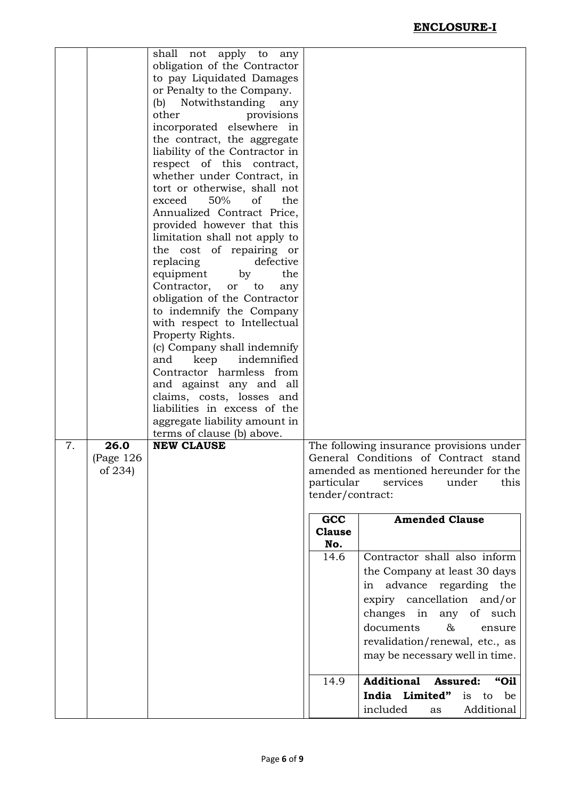|    |             | shall not apply to<br>any                          |                  |                                          |
|----|-------------|----------------------------------------------------|------------------|------------------------------------------|
|    |             | obligation of the Contractor                       |                  |                                          |
|    |             | to pay Liquidated Damages                          |                  |                                          |
|    |             | or Penalty to the Company.                         |                  |                                          |
|    |             | (b) Notwithstanding<br>any                         |                  |                                          |
|    |             | other<br>provisions                                |                  |                                          |
|    |             | incorporated elsewhere in                          |                  |                                          |
|    |             | the contract, the aggregate                        |                  |                                          |
|    |             | liability of the Contractor in                     |                  |                                          |
|    |             | respect of this contract,                          |                  |                                          |
|    |             | whether under Contract, in                         |                  |                                          |
|    |             | tort or otherwise, shall not                       |                  |                                          |
|    |             | exceed<br>50%<br>of<br>the                         |                  |                                          |
|    |             | Annualized Contract Price,                         |                  |                                          |
|    |             | provided however that this                         |                  |                                          |
|    |             | limitation shall not apply to                      |                  |                                          |
|    |             | the cost of repairing or<br>replacing<br>defective |                  |                                          |
|    |             | equipment<br>the<br>by                             |                  |                                          |
|    |             | Contractor,<br>or<br>to<br>any                     |                  |                                          |
|    |             | obligation of the Contractor                       |                  |                                          |
|    |             | to indemnify the Company                           |                  |                                          |
|    |             | with respect to Intellectual                       |                  |                                          |
|    |             | Property Rights.                                   |                  |                                          |
|    |             | (c) Company shall indemnify                        |                  |                                          |
|    |             | keep<br>indemnified<br>and                         |                  |                                          |
|    |             | Contractor harmless from                           |                  |                                          |
|    |             | and against any and all                            |                  |                                          |
|    |             | claims, costs, losses and                          |                  |                                          |
|    |             | liabilities in excess of the                       |                  |                                          |
|    |             | aggregate liability amount in                      |                  |                                          |
|    |             | terms of clause (b) above.                         |                  |                                          |
| 7. | 26.0        | <b>NEW CLAUSE</b>                                  |                  | The following insurance provisions under |
|    | (Page $126$ |                                                    |                  | General Conditions of Contract stand     |
|    | of 234)     |                                                    |                  | amended as mentioned hereunder for the   |
|    |             |                                                    | particular       | services<br>under<br>this                |
|    |             |                                                    | tender/contract: |                                          |
|    |             |                                                    | GCC              | <b>Amended Clause</b>                    |
|    |             |                                                    | <b>Clause</b>    |                                          |
|    |             |                                                    | No.              |                                          |
|    |             |                                                    | 14.6             | Contractor shall also inform             |
|    |             |                                                    |                  | the Company at least 30 days             |
|    |             |                                                    |                  |                                          |
|    |             |                                                    |                  | in advance regarding the                 |
|    |             |                                                    |                  | expiry cancellation and/or               |
|    |             |                                                    |                  | changes in any of such                   |
|    |             |                                                    |                  | documents<br>&<br>ensure                 |
|    |             |                                                    |                  |                                          |
|    |             |                                                    |                  | revalidation/renewal, etc., as           |
|    |             |                                                    |                  | may be necessary well in time.           |
|    |             |                                                    |                  |                                          |
|    |             |                                                    | 14.9             | <b>Additional</b><br>Assured:<br>"Oil    |
|    |             |                                                    |                  | India Limited"<br>is<br>be<br>to         |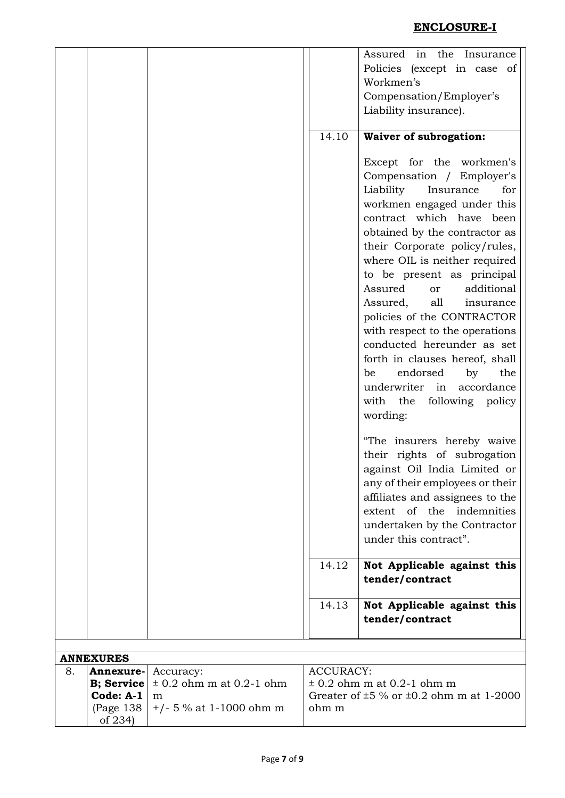|    |                       |                              |                  | Assured in the Insurance                                                                                                                                                                                                                                                                                                                                           |
|----|-----------------------|------------------------------|------------------|--------------------------------------------------------------------------------------------------------------------------------------------------------------------------------------------------------------------------------------------------------------------------------------------------------------------------------------------------------------------|
|    |                       |                              |                  | Policies (except in case of                                                                                                                                                                                                                                                                                                                                        |
|    |                       |                              |                  | Workmen's                                                                                                                                                                                                                                                                                                                                                          |
|    |                       |                              |                  | Compensation/Employer's                                                                                                                                                                                                                                                                                                                                            |
|    |                       |                              |                  | Liability insurance).                                                                                                                                                                                                                                                                                                                                              |
|    |                       |                              |                  |                                                                                                                                                                                                                                                                                                                                                                    |
|    |                       |                              | 14.10            | <b>Waiver of subrogation:</b>                                                                                                                                                                                                                                                                                                                                      |
|    |                       |                              |                  | Except for the workmen's<br>Compensation / Employer's<br>Liability<br>Insurance<br>for<br>workmen engaged under this<br>contract which have been<br>obtained by the contractor as<br>their Corporate policy/rules,                                                                                                                                                 |
|    |                       |                              |                  | where OIL is neither required<br>to be present as principal<br>Assured<br>additional<br>or<br>Assured,<br>all<br>insurance<br>policies of the CONTRACTOR<br>with respect to the operations<br>conducted hereunder as set<br>forth in clauses hereof, shall<br>endorsed<br>by<br>be<br>the<br>underwriter in accordance<br>with the<br>following policy<br>wording: |
|    |                       |                              |                  | "The insurers hereby waive<br>their rights of subrogation<br>against Oil India Limited or<br>any of their employees or their<br>affiliates and assignees to the<br>extent of the indemnities<br>undertaken by the Contractor<br>under this contract".                                                                                                              |
|    |                       |                              | 14.12            | Not Applicable against this<br>tender/contract                                                                                                                                                                                                                                                                                                                     |
|    |                       |                              | 14.13            |                                                                                                                                                                                                                                                                                                                                                                    |
|    |                       |                              |                  | Not Applicable against this<br>tender/contract                                                                                                                                                                                                                                                                                                                     |
|    |                       |                              |                  |                                                                                                                                                                                                                                                                                                                                                                    |
|    |                       |                              |                  |                                                                                                                                                                                                                                                                                                                                                                    |
|    | <b>ANNEXURES</b>      |                              |                  |                                                                                                                                                                                                                                                                                                                                                                    |
| 8. | Annexure-             | Accuracy:                    | <b>ACCURACY:</b> |                                                                                                                                                                                                                                                                                                                                                                    |
|    | <b>B</b> ; Service    | $\pm$ 0.2 ohm m at 0.2-1 ohm |                  | $\pm$ 0.2 ohm m at 0.2-1 ohm m                                                                                                                                                                                                                                                                                                                                     |
|    | Code: $A-1$           | m                            |                  | Greater of $\pm 5$ % or $\pm 0.2$ ohm m at 1-2000                                                                                                                                                                                                                                                                                                                  |
|    | (Page 138)<br>of 234) | $+/- 5$ % at 1-1000 ohm m    | ohm m            |                                                                                                                                                                                                                                                                                                                                                                    |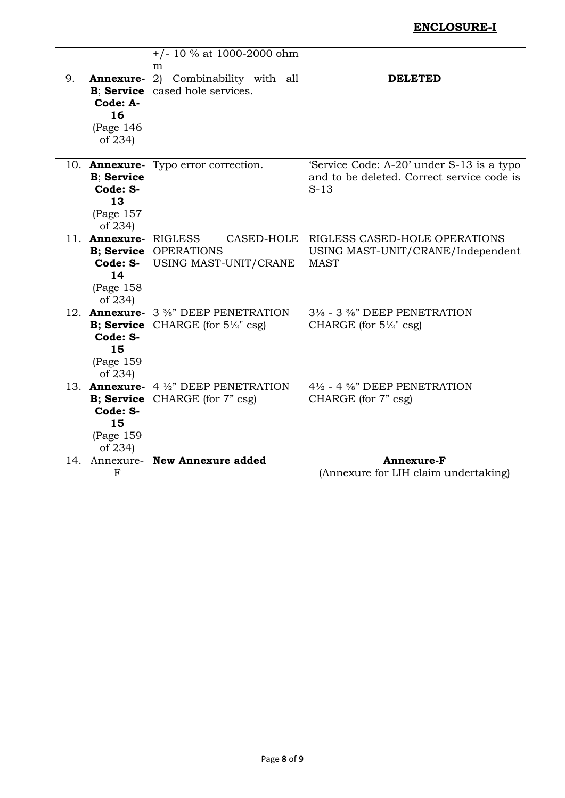# **ENCLOSURE-I**

|     |                    | $+/- 10 \%$ at 1000-2000 ohm      |                                            |
|-----|--------------------|-----------------------------------|--------------------------------------------|
|     |                    | m                                 |                                            |
| 9.  | Annexure-          | 2) Combinability with<br>all      | <b>DELETED</b>                             |
|     | B; Service         | cased hole services.              |                                            |
|     | Code: A-           |                                   |                                            |
|     | 16                 |                                   |                                            |
|     | (Page $146$        |                                   |                                            |
|     | of 234)            |                                   |                                            |
| 10. | Annexure-          | Typo error correction.            | 'Service Code: A-20' under S-13 is a typo  |
|     | <b>B</b> ; Service |                                   | and to be deleted. Correct service code is |
|     | Code: S-           |                                   | $S-13$                                     |
|     | 13                 |                                   |                                            |
|     | (Page $157$        |                                   |                                            |
|     | of 234)            |                                   |                                            |
| 11. | Annexure-          | <b>RIGLESS</b><br>CASED-HOLE      | RIGLESS CASED-HOLE OPERATIONS              |
|     | <b>B</b> ; Service | <b>OPERATIONS</b>                 | USING MAST-UNIT/CRANE/Independent          |
|     | Code: S-           | USING MAST-UNIT/CRANE             | <b>MAST</b>                                |
|     | 14                 |                                   |                                            |
|     | (Page $158$        |                                   |                                            |
|     | of 234)            |                                   |                                            |
| 12. | Annexure-          | 3 %" DEEP PENETRATION             | 31/8 - 3 3/8" DEEP PENETRATION             |
|     | <b>B</b> ; Service | CHARGE (for $5\frac{1}{2}$ " csg) | CHARGE (for $5\frac{1}{2}$ " csg)          |
|     | Code: S-           |                                   |                                            |
|     | 15                 |                                   |                                            |
|     | (Page 159          |                                   |                                            |
|     | of 234)            |                                   |                                            |
| 13. | Annexure-          | 4 1/2" DEEP PENETRATION           | 4½ - 4 %" DEEP PENETRATION                 |
|     | <b>B</b> ; Service | CHARGE (for 7" csg)               | CHARGE (for 7" csg)                        |
|     | Code: S-           |                                   |                                            |
|     | 15                 |                                   |                                            |
|     | (Page 159          |                                   |                                            |
|     | of 234)            | <b>New Annexure added</b>         | <b>Annexure-F</b>                          |
| 14. | Annexure-          |                                   |                                            |
|     | $\mathbf F$        |                                   | (Annexure for LIH claim undertaking)       |